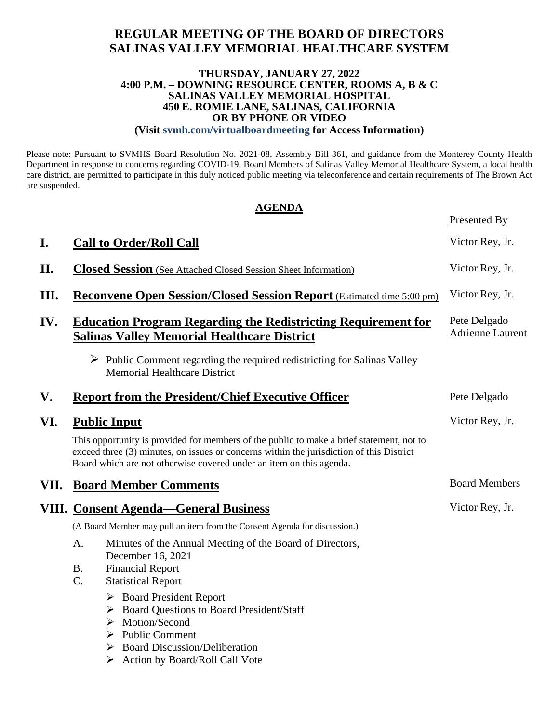# **REGULAR MEETING OF THE BOARD OF DIRECTORS SALINAS VALLEY MEMORIAL HEALTHCARE SYSTEM**

#### **THURSDAY, JANUARY 27, 2022 4:00 P.M. – DOWNING RESOURCE CENTER, ROOMS A, B & C SALINAS VALLEY MEMORIAL HOSPITAL 450 E. ROMIE LANE, SALINAS, CALIFORNIA OR BY PHONE OR VIDEO**

#### **(Visit svmh.com/virtualboardmeeting for Access Information)**

Please note: Pursuant to SVMHS Board Resolution No. 2021-08, Assembly Bill 361, and guidance from the Monterey County Health Department in response to concerns regarding COVID-19, Board Members of Salinas Valley Memorial Healthcare System, a local health care district, are permitted to participate in this duly noticed public meeting via teleconference and certain requirements of The Brown Act are suspended.

#### **AGENDA**

Presented By

| I.   | <b>Call to Order/Roll Call</b>                                                                                                                                                                                                                              | Victor Rey, Jr.                         |
|------|-------------------------------------------------------------------------------------------------------------------------------------------------------------------------------------------------------------------------------------------------------------|-----------------------------------------|
|      |                                                                                                                                                                                                                                                             |                                         |
| II.  | <b>Closed Session</b> (See Attached Closed Session Sheet Information)                                                                                                                                                                                       | Victor Rey, Jr.                         |
| Ш.   | <b>Reconvene Open Session/Closed Session Report</b> (Estimated time 5:00 pm)                                                                                                                                                                                | Victor Rey, Jr.                         |
| IV.  | <b>Education Program Regarding the Redistricting Requirement for</b><br><b>Salinas Valley Memorial Healthcare District</b>                                                                                                                                  | Pete Delgado<br><b>Adrienne Laurent</b> |
|      | $\triangleright$ Public Comment regarding the required redistricting for Salinas Valley<br><b>Memorial Healthcare District</b>                                                                                                                              |                                         |
| V.   | <b>Report from the President/Chief Executive Officer</b>                                                                                                                                                                                                    | Pete Delgado                            |
| VI.  | <b>Public Input</b>                                                                                                                                                                                                                                         | Victor Rey, Jr.                         |
|      | This opportunity is provided for members of the public to make a brief statement, not to<br>exceed three (3) minutes, on issues or concerns within the jurisdiction of this District<br>Board which are not otherwise covered under an item on this agenda. |                                         |
| VII. | <b>Board Member Comments</b>                                                                                                                                                                                                                                | <b>Board Members</b>                    |
|      | <b>VIII. Consent Agenda—General Business</b>                                                                                                                                                                                                                | Victor Rey, Jr.                         |
|      | (A Board Member may pull an item from the Consent Agenda for discussion.)                                                                                                                                                                                   |                                         |
|      | Minutes of the Annual Meeting of the Board of Directors,<br>A.<br>December 16, 2021                                                                                                                                                                         |                                         |
|      | <b>Financial Report</b><br><b>B.</b>                                                                                                                                                                                                                        |                                         |
|      | C.<br><b>Statistical Report</b>                                                                                                                                                                                                                             |                                         |
|      | $\triangleright$ Board President Report                                                                                                                                                                                                                     |                                         |
|      | > Board Questions to Board President/Staff<br>Motion/Second                                                                                                                                                                                                 |                                         |
|      | ➤<br>$\triangleright$ Public Comment                                                                                                                                                                                                                        |                                         |
|      | <b>Board Discussion/Deliberation</b>                                                                                                                                                                                                                        |                                         |
|      | Action by Board/Roll Call Vote                                                                                                                                                                                                                              |                                         |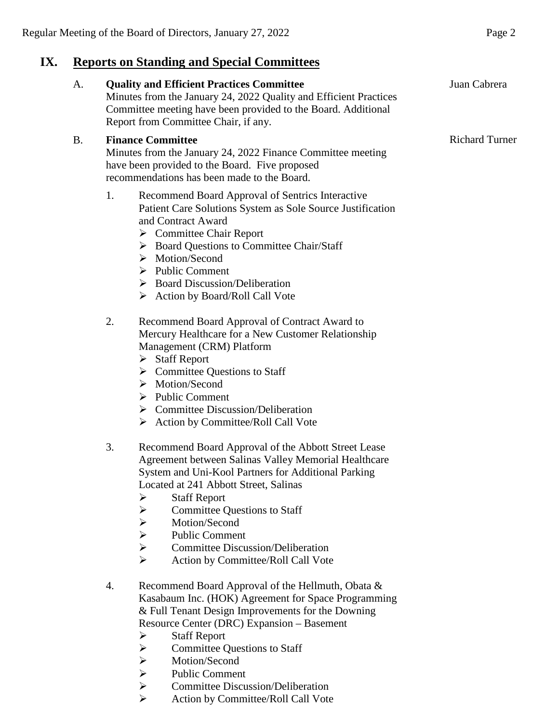# **IX. Reports on Standing and Special Committees**

| A.        | <b>Quality and Efficient Practices Committee</b><br>Minutes from the January 24, 2022 Quality and Efficient Practices<br>Committee meeting have been provided to the Board. Additional<br>Report from Committee Chair, if any.                                                                                                                                                                                                                                                                                       | Juan Cabrera          |
|-----------|----------------------------------------------------------------------------------------------------------------------------------------------------------------------------------------------------------------------------------------------------------------------------------------------------------------------------------------------------------------------------------------------------------------------------------------------------------------------------------------------------------------------|-----------------------|
| <b>B.</b> | <b>Finance Committee</b><br>Minutes from the January 24, 2022 Finance Committee meeting<br>have been provided to the Board. Five proposed<br>recommendations has been made to the Board.                                                                                                                                                                                                                                                                                                                             | <b>Richard Turner</b> |
|           | 1.<br>Recommend Board Approval of Sentrics Interactive<br>Patient Care Solutions System as Sole Source Justification<br>and Contract Award<br>$\triangleright$ Committee Chair Report<br>> Board Questions to Committee Chair/Staff<br>$\triangleright$ Motion/Second<br>$\triangleright$ Public Comment<br>$\triangleright$ Board Discussion/Deliberation<br>$\triangleright$ Action by Board/Roll Call Vote                                                                                                        |                       |
|           | 2.<br>Recommend Board Approval of Contract Award to<br>Mercury Healthcare for a New Customer Relationship<br>Management (CRM) Platform<br>$\triangleright$ Staff Report<br>$\triangleright$ Committee Questions to Staff<br>$\triangleright$ Motion/Second<br>$\triangleright$ Public Comment<br>$\triangleright$ Committee Discussion/Deliberation<br>$\triangleright$ Action by Committee/Roll Call Vote                                                                                                           |                       |
|           | 3.<br>Recommend Board Approval of the Abbott Street Lease<br>Agreement between Salinas Valley Memorial Healthcare<br>System and Uni-Kool Partners for Additional Parking<br>Located at 241 Abbott Street, Salinas<br><b>Staff Report</b><br>➤<br>$\blacktriangleright$<br><b>Committee Questions to Staff</b><br>$\blacktriangleright$<br>Motion/Second<br><b>Public Comment</b><br>$\blacktriangleright$<br><b>Committee Discussion/Deliberation</b><br>$\blacktriangleright$<br>Action by Committee/Roll Call Vote |                       |
|           | Recommend Board Approval of the Hellmuth, Obata &<br>4.<br>Kasabaum Inc. (HOK) Agreement for Space Programming<br>& Full Tenant Design Improvements for the Downing<br>Resource Center (DRC) Expansion - Basement<br><b>Staff Report</b><br>➤<br><b>Committee Questions to Staff</b><br>$\blacktriangleright$<br>$\blacktriangleright$<br>Motion/Second<br>$\blacktriangleright$<br><b>Public Comment</b><br>$\blacktriangleright$<br><b>Committee Discussion/Deliberation</b>                                       |                       |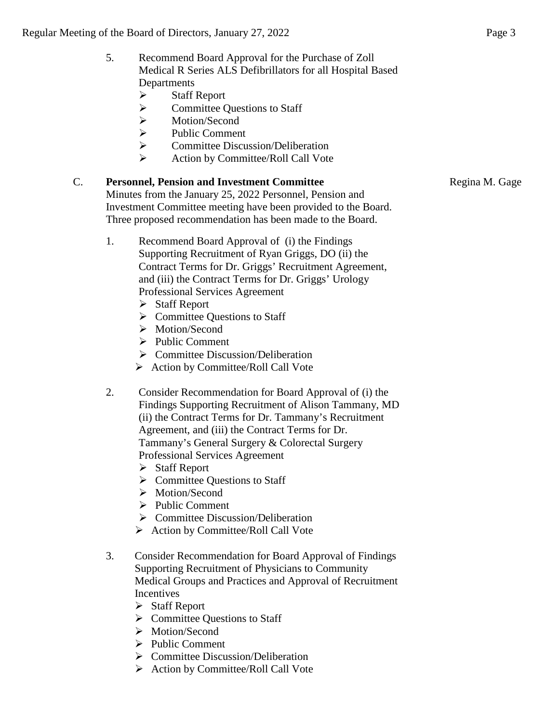### 5. Recommend Board Approval for the Purchase of Zoll Medical R Series ALS Defibrillators for all Hospital Based Departments

- $\triangleright$  Staff Report
- $\triangleright$  Committee Questions to Staff
- Motion/Second
- > Public Comment
- **►** Committee Discussion/Deliberation
- $\triangleright$  Action by Committee/Roll Call Vote

# C. **Personnel, Pension and Investment Committee**

Regina M. Gage

Minutes from the January 25, 2022 Personnel, Pension and Investment Committee meeting have been provided to the Board. Three proposed recommendation has been made to the Board.

- 1. Recommend Board Approval of (i) the Findings Supporting Recruitment of Ryan Griggs, DO (ii) the Contract Terms for Dr. Griggs' Recruitment Agreement, and (iii) the Contract Terms for Dr. Griggs' Urology Professional Services Agreement
	- Staff Report
	- $\triangleright$  Committee Questions to Staff
	- > Motion/Second
	- $\triangleright$  Public Comment
	- $\triangleright$  Committee Discussion/Deliberation
	- $\triangleright$  Action by Committee/Roll Call Vote
- 2. Consider Recommendation for Board Approval of (i) the Findings Supporting Recruitment of Alison Tammany, MD (ii) the Contract Terms for Dr. Tammany's Recruitment Agreement, and (iii) the Contract Terms for Dr. Tammany's General Surgery & Colorectal Surgery Professional Services Agreement
	- $\triangleright$  Staff Report
	- $\triangleright$  Committee Questions to Staff
	- > Motion/Second
	- $\triangleright$  Public Comment
	- $\triangleright$  Committee Discussion/Deliberation
	- $\triangleright$  Action by Committee/Roll Call Vote
- 3. Consider Recommendation for Board Approval of Findings Supporting Recruitment of Physicians to Community Medical Groups and Practices and Approval of Recruitment **Incentives** 
	- Staff Report
	- **►** Committee Questions to Staff
	- > Motion/Second
	- $\triangleright$  Public Comment
	- $\triangleright$  Committee Discussion/Deliberation
	- $\triangleright$  Action by Committee/Roll Call Vote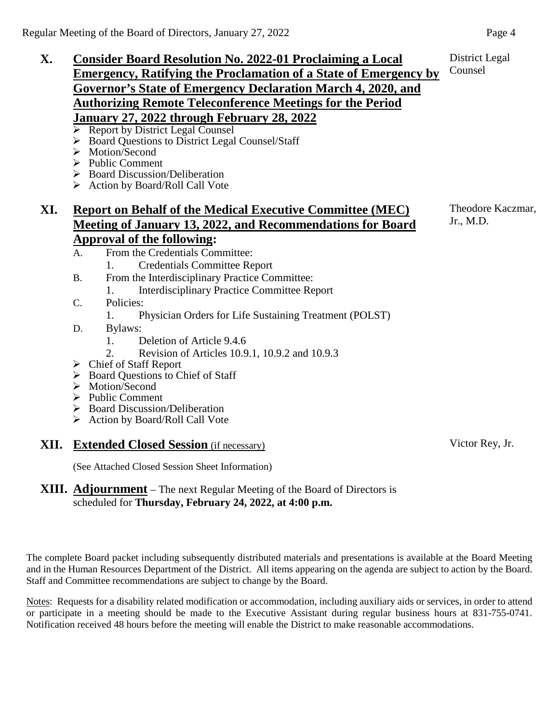- **X. Consider Board Resolution No. 2022-01 Proclaiming a Local Emergency, Ratifying the Proclamation of a State of Emergency by Governor's State of Emergency Declaration March 4, 2020, and Authorizing Remote Teleconference Meetings for the Period January 27, 2022 through February 28, 2022** 
	- $\triangleright$  Report by District Legal Counsel
	- ▶ Board Questions to District Legal Counsel/Staff
	- > Motion/Second
	- $\triangleright$  Public Comment
	- Board Discussion/Deliberation
	- ▶ Action by Board/Roll Call Vote

# **XI. Report on Behalf of the Medical Executive Committee (MEC) Meeting of January 13, 2022, and Recommendations for Board Approval of the following:**

- A. From the Credentials Committee:
	- 1. Credentials Committee Report
- B. From the Interdisciplinary Practice Committee:
	- 1. Interdisciplinary Practice Committee Report
- C. Policies:
	- 1. Physician Orders for Life Sustaining Treatment (POLST)
- D. Bylaws:
	- 1. Deletion of Article 9.4.6
	- 2. Revision of Articles 10.9.1, 10.9.2 and 10.9.3
- $\triangleright$  Chief of Staff Report
- ▶ Board Questions to Chief of Staff
- > Motion/Second
- $\triangleright$  Public Comment
- $\triangleright$  Board Discussion/Deliberation
- $\triangleright$  Action by Board/Roll Call Vote

#### **XII. Extended Closed Session** (if necessary)

(See Attached Closed Session Sheet Information)

### **XIII. Adjournment** – The next Regular Meeting of the Board of Directors is scheduled for **Thursday, February 24, 2022, at 4:00 p.m.**

The complete Board packet including subsequently distributed materials and presentations is available at the Board Meeting and in the Human Resources Department of the District. All items appearing on the agenda are subject to action by the Board. Staff and Committee recommendations are subject to change by the Board.

Notes: Requests for a disability related modification or accommodation, including auxiliary aids or services, in order to attend or participate in a meeting should be made to the Executive Assistant during regular business hours at 831-755-0741. Notification received 48 hours before the meeting will enable the District to make reasonable accommodations.

Theodore Kaczmar, Jr., M.D.

Counsel

Victor Rey, Jr.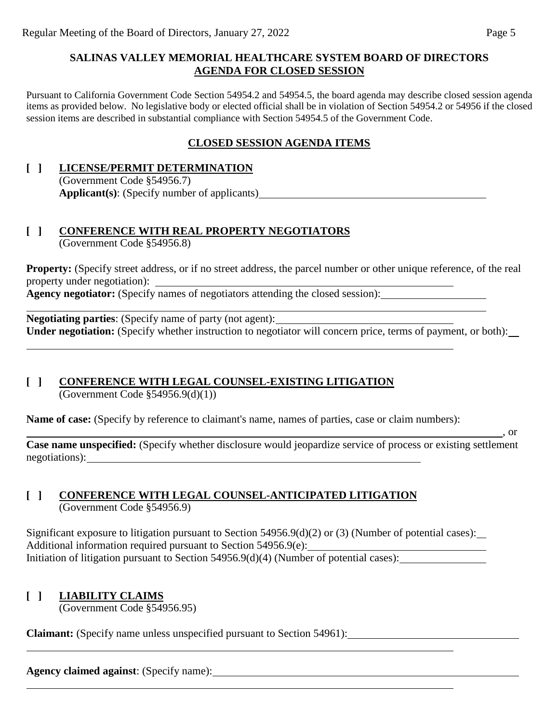#### **SALINAS VALLEY MEMORIAL HEALTHCARE SYSTEM BOARD OF DIRECTORS AGENDA FOR CLOSED SESSION**

Pursuant to California Government Code Section 54954.2 and 54954.5, the board agenda may describe closed session agenda items as provided below. No legislative body or elected official shall be in violation of Section 54954.2 or 54956 if the closed session items are described in substantial compliance with Section 54954.5 of the Government Code.

## **CLOSED SESSION AGENDA ITEMS**

#### **[ ] LICENSE/PERMIT DETERMINATION** (Government Code §54956.7) **Applicant(s)**: (Specify number of applicants)

# **[ ] CONFERENCE WITH REAL PROPERTY NEGOTIATORS**

(Government Code §54956.8)

**Property:** (Specify street address, or if no street address, the parcel number or other unique reference, of the real property under negotiation):

**Agency negotiator:** (Specify names of negotiators attending the closed session):

**Negotiating parties**: (Specify name of party (not agent): **Under negotiation:** (Specify whether instruction to negotiator will concern price, terms of payment, or both):

## **[ ] CONFERENCE WITH LEGAL COUNSEL-EXISTING LITIGATION**

(Government Code §54956.9(d)(1))

**Name of case:** (Specify by reference to claimant's name, names of parties, case or claim numbers):

 $\frac{1}{\sqrt{2}}$ , or

**Case name unspecified:** (Specify whether disclosure would jeopardize service of process or existing settlement negotiations):

#### **[ ] CONFERENCE WITH LEGAL COUNSEL-ANTICIPATED LITIGATION** (Government Code §54956.9)

Significant exposure to litigation pursuant to Section 54956.9(d)(2) or (3) (Number of potential cases): Additional information required pursuant to Section 54956.9(e): Initiation of litigation pursuant to Section 54956.9(d)(4) (Number of potential cases):

## **[ ] LIABILITY CLAIMS**

(Government Code §54956.95)

**Claimant:** (Specify name unless unspecified pursuant to Section 54961):

**Agency claimed against**: (Specify name):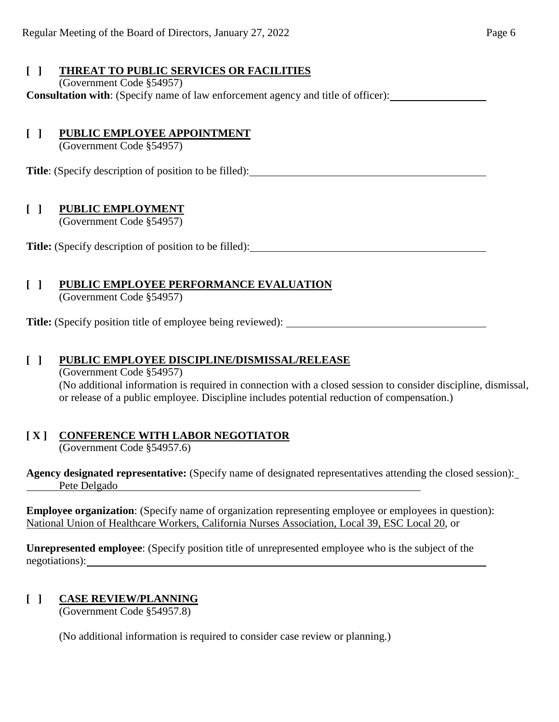# **[ ] THREAT TO PUBLIC SERVICES OR FACILITIES**

# (Government Code §54957)

**Consultation with**: (Specify name of law enforcement agency and title of officer):

# **[ ] PUBLIC EMPLOYEE APPOINTMENT**

(Government Code §54957)

**Title**: (Specify description of position to be filled):

# **[ ] PUBLIC EMPLOYMENT**

(Government Code §54957)

**Title:** (Specify description of position to be filled):

# **[ ] PUBLIC EMPLOYEE PERFORMANCE EVALUATION**

(Government Code §54957)

**Title:** (Specify position title of employee being reviewed):

### **[ ] PUBLIC EMPLOYEE DISCIPLINE/DISMISSAL/RELEASE**

(Government Code §54957) (No additional information is required in connection with a closed session to consider discipline, dismissal, or release of a public employee. Discipline includes potential reduction of compensation.)

# **[ X ] CONFERENCE WITH LABOR NEGOTIATOR**

(Government Code §54957.6)

**Agency designated representative:** (Specify name of designated representatives attending the closed session): Pete Delgado

**Employee organization**: (Specify name of organization representing employee or employees in question): National Union of Healthcare Workers, California Nurses Association, Local 39, ESC Local 20, or

**Unrepresented employee**: (Specify position title of unrepresented employee who is the subject of the negotiations):

# **[ ] CASE REVIEW/PLANNING**

(Government Code §54957.8)

(No additional information is required to consider case review or planning.)